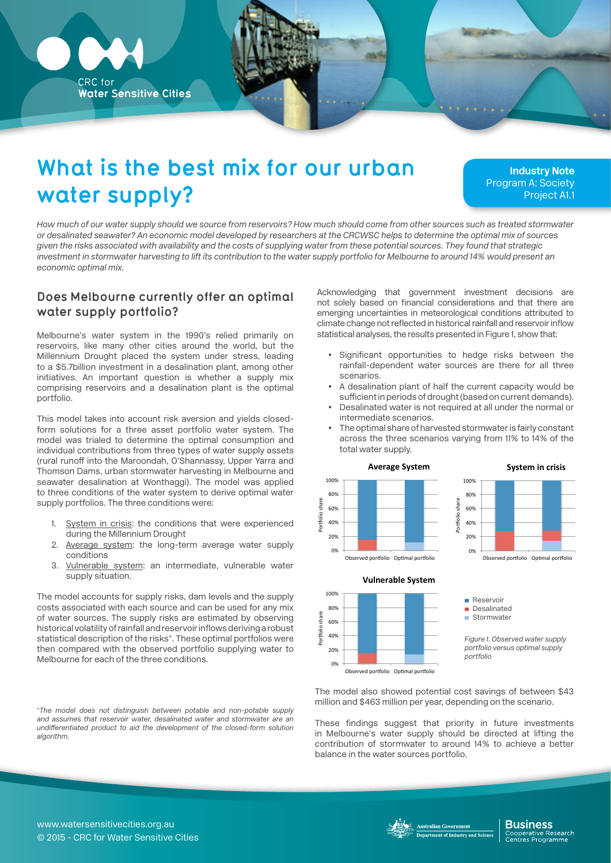

# **What is the best mix for our urban water supply?**

**Industry Note** Program A: Society Project A1.1

*How much of our water supply should we source from reservoirs? How much should come from other sources such as treated stormwater or desalinated seawater? An economic model developed by researchers at the CRCWSC helps to determine the optimal mix of sources given the risks associated with availability and the costs of supplying water from these potential sources. They found that strategic*  investment in stormwater harvesting to lift its contribution to the water supply portfolio for Melbourne to around 14% would present an *economic optimal mix.* 

## **Does Melbourne currently offer an optimal water supply portfolio?**

Melbourne's water system in the 1990's relied primarily on reservoirs, like many other cities around the world, but the Millennium Drought placed the system under stress, leading to a \$5.7billion investment in a desalination plant, among other initiatives. An important question is whether a supply mix comprising reservoirs and a desalination plant is the optimal portfolio.

This model takes into account risk aversion and yields closedform solutions for a three asset portfolio water system. The model was trialed to determine the optimal consumption and individual contributions from three types of water supply assets (rural runoff into the Maroondah, O'Shannassy, Upper Yarra and Thomson Dams, urban stormwater harvesting in Melbourne and seawater desalination at Wonthaggi). The model was applied to three conditions of the water system to derive optimal water supply portfolios. The three conditions were:

- 1. System in crisis: the conditions that were experienced during the Millennium Drought
- 2. Average system: the long-term average water supply conditions
- 3. Vulnerable system: an intermediate, vulnerable water supply situation.

The model accounts for supply risks, dam levels and the supply costs associated with each source and can be used for any mix of water sources. The supply risks are estimated by observing historical volatility of rainfall and reservoir inflows deriving a robust statistical description of the risks\*. These optimal portfolios were then compared with the observed portfolio supplying water to Melbourne for each of the three conditions.

*\*The model does not distinguish between potable and non-potable supply and assumes that reservoir water, desalinated water and stormwater are an undifferentiated product to aid the development of the closed-form solution algorithm.*

Acknowledging that government investment decisions are not solely based on financial considerations and that there are emerging uncertainties in meteorological conditions attributed to climate change not reflected in historical rainfall and reservoir inflow statistical analyses, the results presented in Figure 1, show that:

- Significant opportunities to hedge risks between the rainfall-dependent water sources are there for all three scenarios.
- A desalination plant of half the current capacity would be sufficient in periods of drought (based on current demands).
- Desalinated water is not required at all under the normal or intermediate scenarios. uirea at
- The optimal share of harvested stormwater is fairly constant 0% 
 across the three scenarios varying from 11% to 14% of the total water supply.





0% 
  $20%$  $\overline{2}$  40% -ិ<br>និ 60% 80% 
 100% 
 Observed portfolio Optimal portfolio **System in crisis**  $\mathbb{Z}$  and  $\mathbb{Z}$ Desalinated 
  $5 \cdot 3$ 



Figure 1. Observed water supply portfolio versus optimal supply portfolio

The model also showed potential cost savings of between \$43 million and \$463 million per year, depending on the scenario.

These findings suggest that priority in future investments in Melbourne's water supply should be directed at lifting the contribution of stormwater to around 14% to achieve a better balance in the water sources portfolio. 40% 
 ul<br>u<br>Ili

0% 

vernm

www.watersensitivecities.org.au © 2015 - CRC for Water Sensitive Cities